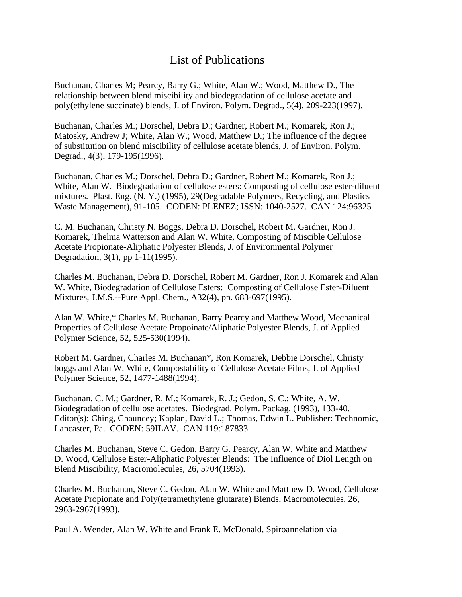## List of Publications

Buchanan, Charles M; Pearcy, Barry G.; White, Alan W.; Wood, Matthew D., The relationship between blend miscibility and biodegradation of cellulose acetate and poly(ethylene succinate) blends, J. of Environ. Polym. Degrad., 5(4), 209-223(1997).

Buchanan, Charles M.; Dorschel, Debra D.; Gardner, Robert M.; Komarek, Ron J.; Matosky, Andrew J; White, Alan W.; Wood, Matthew D.; The influence of the degree of substitution on blend miscibility of cellulose acetate blends, J. of Environ. Polym. Degrad., 4(3), 179-195(1996).

Buchanan, Charles M.; Dorschel, Debra D.; Gardner, Robert M.; Komarek, Ron J.; White, Alan W. Biodegradation of cellulose esters: Composting of cellulose ester-diluent mixtures. Plast. Eng. (N. Y.) (1995), 29(Degradable Polymers, Recycling, and Plastics Waste Management), 91-105. CODEN: PLENEZ; ISSN: 1040-2527. CAN 124:96325

C. M. Buchanan, Christy N. Boggs, Debra D. Dorschel, Robert M. Gardner, Ron J. Komarek, Thelma Watterson and Alan W. White, Composting of Miscible Cellulose Acetate Propionate-Aliphatic Polyester Blends, J. of Environmental Polymer Degradation, 3(1), pp 1-11(1995).

Charles M. Buchanan, Debra D. Dorschel, Robert M. Gardner, Ron J. Komarek and Alan W. White, Biodegradation of Cellulose Esters: Composting of Cellulose Ester-Diluent Mixtures, J.M.S.--Pure Appl. Chem., A32(4), pp. 683-697(1995).

Alan W. White,\* Charles M. Buchanan, Barry Pearcy and Matthew Wood, Mechanical Properties of Cellulose Acetate Propoinate/Aliphatic Polyester Blends, J. of Applied Polymer Science, 52, 525-530(1994).

Robert M. Gardner, Charles M. Buchanan\*, Ron Komarek, Debbie Dorschel, Christy boggs and Alan W. White, Compostability of Cellulose Acetate Films, J. of Applied Polymer Science, 52, 1477-1488(1994).

Buchanan, C. M.; Gardner, R. M.; Komarek, R. J.; Gedon, S. C.; White, A. W. Biodegradation of cellulose acetates. Biodegrad. Polym. Packag. (1993), 133-40. Editor(s): Ching, Chauncey; Kaplan, David L.; Thomas, Edwin L. Publisher: Technomic, Lancaster, Pa. CODEN: 59ILAV. CAN 119:187833

Charles M. Buchanan, Steve C. Gedon, Barry G. Pearcy, Alan W. White and Matthew D. Wood, Cellulose Ester-Aliphatic Polyester Blends: The Influence of Diol Length on Blend Miscibility, Macromolecules, 26, 5704(1993).

Charles M. Buchanan, Steve C. Gedon, Alan W. White and Matthew D. Wood, Cellulose Acetate Propionate and Poly(tetramethylene glutarate) Blends, Macromolecules, 26, 2963-2967(1993).

Paul A. Wender, Alan W. White and Frank E. McDonald, Spiroannelation via